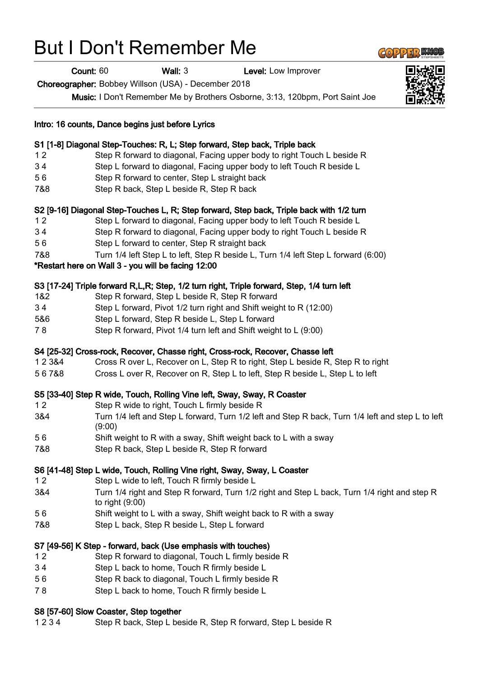## But I Don't Remember Me

Count: 60 Wall: 3 Level: Low Improver

Choreographer: Bobbey Willson (USA) - December 2018

Music: I Don't Remember Me by Brothers Osborne, 3:13, 120bpm, Port Saint Joe

|          | Intro: 16 counts, Dance begins just before Lyrics                                                                 |
|----------|-------------------------------------------------------------------------------------------------------------------|
|          | S1 [1-8] Diagonal Step-Touches: R, L; Step forward, Step back, Triple back                                        |
| 12       | Step R forward to diagonal, Facing upper body to right Touch L beside R                                           |
| 34       | Step L forward to diagonal, Facing upper body to left Touch R beside L                                            |
| 56       | Step R forward to center, Step L straight back                                                                    |
| 7&8      | Step R back, Step L beside R, Step R back                                                                         |
|          | S2 [9-16] Diagonal Step-Touches L, R; Step forward, Step back, Triple back with 1/2 turn                          |
| 12       | Step L forward to diagonal, Facing upper body to left Touch R beside L                                            |
| 34       | Step R forward to diagonal, Facing upper body to right Touch L beside R                                           |
| 56       | Step L forward to center, Step R straight back                                                                    |
| 7&8      | Turn 1/4 left Step L to left, Step R beside L, Turn 1/4 left Step L forward (6:00)                                |
|          | *Restart here on Wall 3 - you will be facing 12:00                                                                |
|          | S3 [17-24] Triple forward R,L,R; Step, 1/2 turn right, Triple forward, Step, 1/4 turn left                        |
| 1&2      | Step R forward, Step L beside R, Step R forward                                                                   |
| 34       | Step L forward, Pivot 1/2 turn right and Shift weight to R (12:00)                                                |
| 5&6      | Step L forward, Step R beside L, Step L forward                                                                   |
| 78       | Step R forward, Pivot 1/4 turn left and Shift weight to L (9:00)                                                  |
|          | S4 [25-32] Cross-rock, Recover, Chasse right, Cross-rock, Recover, Chasse left                                    |
| 12 3 & 4 | Cross R over L, Recover on L, Step R to right, Step L beside R, Step R to right                                   |
| 567&8    | Cross L over R, Recover on R, Step L to left, Step R beside L, Step L to left                                     |
|          | S5 [33-40] Step R wide, Touch, Rolling Vine left, Sway, Sway, R Coaster                                           |
| 12       | Step R wide to right, Touch L firmly beside R                                                                     |
| 3&4      | Turn 1/4 left and Step L forward, Turn 1/2 left and Step R back, Turn 1/4 left and step L to left<br>(9:00)       |
| 56       | Shift weight to R with a sway, Shift weight back to L with a sway                                                 |
| 7&8      | Step R back, Step L beside R, Step R forward                                                                      |
|          | S6 [41-48] Step L wide, Touch, Rolling Vine right, Sway, Sway, L Coaster                                          |
| 12       | Step L wide to left, Touch R firmly beside L                                                                      |
| 3&4      | Turn 1/4 right and Step R forward, Turn 1/2 right and Step L back, Turn 1/4 right and step R<br>to right $(9:00)$ |
| 56       | Shift weight to L with a sway, Shift weight back to R with a sway                                                 |
| 7&8      | Step L back, Step R beside L, Step L forward                                                                      |
|          | S7 [49-56] K Step - forward, back (Use emphasis with touches)                                                     |
| $12$     | Step R forward to diagonal, Touch L firmly beside R                                                               |
| 34       | Step L back to home, Touch R firmly beside L                                                                      |
| 56       | Step R back to diagonal, Touch L firmly beside R                                                                  |
| 78       | Step L back to home, Touch R firmly beside L                                                                      |
|          | S8 [57-60] Slow Coaster, Step together                                                                            |
| 1234     | Step R back, Step L beside R, Step R forward, Step L beside R                                                     |